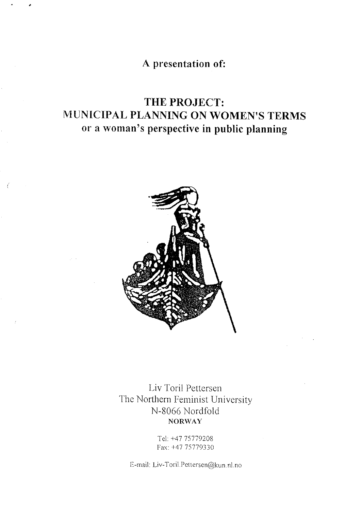A presentation of:

# THE PROJECT: MUNICIPAL PLANNING ON WOMEN'S TERMS or a woman's perspective in public planning



Ť

Liv Toril Pettersen The Northern Feminist University N-8066 Nordfold **NORWAY** 

> Tel: +47 75779208 Fax: +47 75779330

E-mail: Liv-Toril.Pettersen@kun.nl.no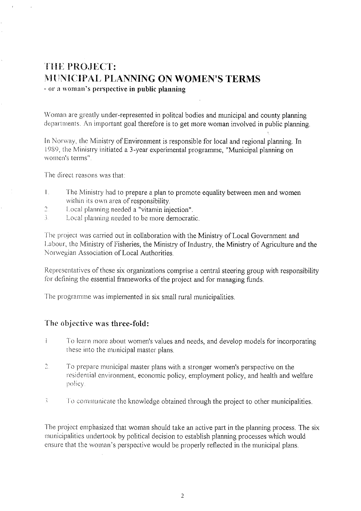## THE PROJECT: **MUNICIPAL PLANNING ON WOMEN'S TERMS** - or a woman's perspective in public planning

Woman are greatly under-represented in politcal bodies and municipal and county planning departments. An important goal therefore is to get more woman involved in public planning.

In Norway, the Ministry of Environment is responsible for local and regional planning. In 1989, the Ministry initiated a 3-year experimental programme, "Municipal planning on women's terms".

The direct reasons was that:

- $\mathbf{L}$ The Ministry had to prepare a plan to promote equality between men and women within its own area of responsibility.
- Local planning needed a "vitamin injection".  $\tilde{c}$
- $\mathbb{R}^2$ Local planning needed to be more democratic.

The project was carried out in collaboration with the Ministry of Local Government and Labour, the Ministry of Fisheries, the Ministry of Industry, the Ministry of Agriculture and the Norwegian Association of Local Authorities.

Representatives of these six organizations comprise a central steering group with responsibility for defining the essential frameworks of the project and for managing funds.

The programme was implemented in six small rural municipalities.

### The objective was three-fold:

- $\mathbf{I}$ To learn more about women's values and needs, and develop models for incorporating these into the municipal master plans.
- $\overline{2}$ . To prepare municipal master plans with a stronger women's perspective on the residential environment, economic policy, employment policy, and health and welfare policy.
- Ň To communicate the knowledge obtained through the project to other municipalities.

The project emphasized that woman should take an active part in the planning process. The six municipalities undertook by political decision to establish planning processes which would ensure that the woman's perspective would be properly reflected in the municipal plans.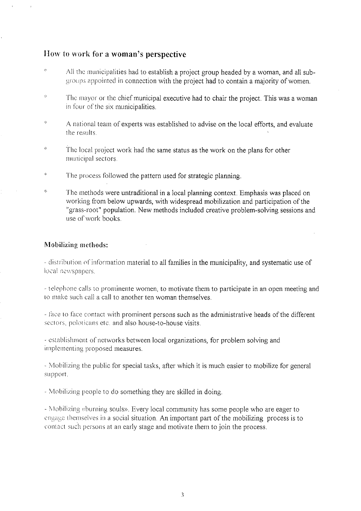### How to work for a woman's perspective

- $\mathcal{G}$ All the municipalities had to establish a project group headed by a woman, and all subgroups appointed in connection with the project had to contain a majority of women.
- $\dot{\mathcal{Z}}$ The mayor or the chief municipal executive had to chair the project. This was a woman in four of the six municipalities.
- $\frac{1}{2}$ A national team of experts was established to advise on the local efforts, and evaluate the results.
- $\hat{R}$ The local project work had the same status as the work on the plans for other municipal sectors.
- $\ddot{\mathrm{z}}$ The process followed the pattern used for strategic planning.
- $\psi_{\rm s}$ The methods were untraditional in a local planning context. Emphasis was placed on working from below upwards, with widespread mobilization and participation of the "grass-root" population. New methods included creative problem-solving sessions and use of work books.

### Mobilizing methods:

- distribution of information material to all families in the municipality, and systematic use of local newspapers.

- telephone calls to prominente women, to motivate them to participate in an open meeting and to make such call a call to another ten woman themselves.

- face to face contact with prominent persons such as the administrative heads of the different sectors, poloticans etc. and also house-to-house visits.

- establishment of networks between local organizations, for problem solving and implementing proposed measures.

- Mobilizing the public for special tasks, after which it is much easier to mobilize for general support.

- Mobilizing people to do something they are skilled in doing.

- Mobilizing «burning souls». Every local community has some people who are eager to engage themselves in a social situation. An important part of the mobilizing process is to contact such persons at an early stage and motivate them to join the process.